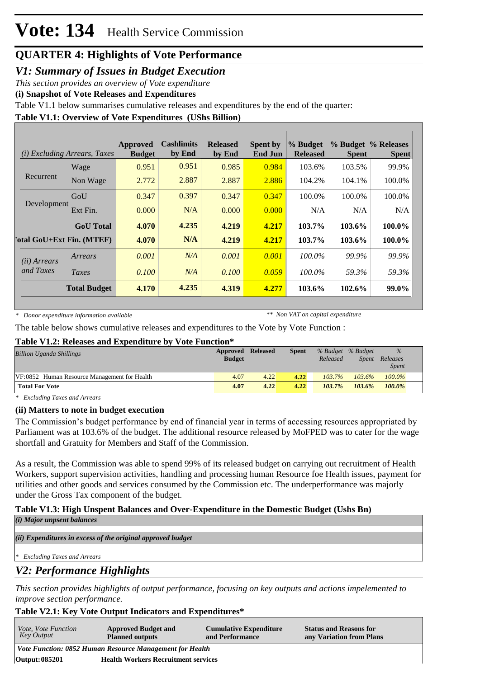## *V1: Summary of Issues in Budget Execution*

*This section provides an overview of Vote expenditure*

**(i) Snapshot of Vote Releases and Expenditures**

Table V1.1 below summarises cumulative releases and expenditures by the end of the quarter:

## **Table V1.1: Overview of Vote Expenditures (UShs Billion)**

| (i)                                | <i>Excluding Arrears, Taxes</i> | Approved<br><b>Budget</b> | <b>Cashlimits</b><br>by End | <b>Released</b><br>by End | <b>Spent by</b><br><b>End Jun</b> | % Budget<br><b>Released</b> | <b>Spent</b> | % Budget % Releases<br><b>Spent</b> |
|------------------------------------|---------------------------------|---------------------------|-----------------------------|---------------------------|-----------------------------------|-----------------------------|--------------|-------------------------------------|
|                                    | Wage                            | 0.951                     | 0.951                       | 0.985                     | 0.984                             | 103.6%                      | 103.5%       | 99.9%                               |
| Recurrent                          | Non Wage                        | 2.772                     | 2.887                       | 2.887                     | 2.886                             | 104.2%                      | 104.1%       | 100.0%                              |
|                                    | GoU                             | 0.347                     | 0.397                       | 0.347                     | 0.347                             | 100.0%                      | 100.0%       | 100.0%                              |
| Development                        | Ext Fin.                        | 0.000                     | N/A                         | 0.000                     | 0.000                             | N/A                         | N/A          | N/A                                 |
|                                    | <b>GoU</b> Total                | 4.070                     | 4.235                       | 4.219                     | 4.217                             | 103.7%                      | 103.6%       | 100.0%                              |
| <b>Total GoU+Ext Fin. (MTEF)</b>   |                                 | 4.070                     | N/A                         | 4.219                     | 4.217                             | 103.7%                      | 103.6%       | 100.0%                              |
| ( <i>ii</i> ) Arrears<br>and Taxes | Arrears                         | 0.001                     | N/A                         | 0.001                     | 0.001                             | 100.0%                      | 99.9%        | 99.9%                               |
|                                    | Taxes                           | 0.100                     | N/A                         | 0.100                     | 0.059                             | 100.0%                      | 59.3%        | 59.3%                               |
|                                    | <b>Total Budget</b>             | 4.170                     | 4.235                       | 4.319                     | 4.277                             | 103.6%                      | 102.6%       | 99.0%                               |

*\* Donor expenditure information available*

*\*\* Non VAT on capital expenditure*

The table below shows cumulative releases and expenditures to the Vote by Vote Function :

### **Table V1.2: Releases and Expenditure by Vote Function\***

| <b>Billion Uganda Shillings</b>              | Approved Released<br><b>Budget</b> |      | Spent | Released  | % Budget % Budget<br>Spent | $\%$<br>Releases |
|----------------------------------------------|------------------------------------|------|-------|-----------|----------------------------|------------------|
|                                              |                                    |      |       |           |                            | <i>Spent</i>     |
| VF:0852 Human Resource Management for Health | 4.07                               | 4.22 | 4.22  | $103.7\%$ | $103.6\%$                  | $100.0\%$        |
| <b>Total For Vote</b>                        | 4.07                               | 4.22 | 4.22  | 103.7%    | $103.6\%$                  | $100.0\%$        |

*\* Excluding Taxes and Arrears*

### **(ii) Matters to note in budget execution**

The Commission's budget performance by end of financial year in terms of accessing resources appropriated by Parliament was at 103.6% of the budget. The additional resource released by MoFPED was to cater for the wage shortfall and Gratuity for Members and Staff of the Commission.

As a result, the Commission was able to spend 99% of its released budget on carrying out recruitment of Health Workers, support supervision activities, handling and processing human Resource foe Health issues, payment for utilities and other goods and services consumed by the Commission etc. The underperformance was majorly under the Gross Tax component of the budget.

#### **Table V1.3: High Unspent Balances and Over-Expenditure in the Domestic Budget (Ushs Bn)** *(i) Major unpsent balances*

*(ii) Expenditures in excess of the original approved budget*

*\* Excluding Taxes and Arrears*

# *V2: Performance Highlights*

*This section provides highlights of output performance, focusing on key outputs and actions impelemented to improve section performance.*

### **Table V2.1: Key Vote Output Indicators and Expenditures\***

| <i>Vote, Vote Function</i><br>Key Output                 | <b>Approved Budget and</b><br><b>Planned outputs</b> | <b>Cumulative Expenditure</b><br>and Performance | <b>Status and Reasons for</b><br>any Variation from Plans |  |  |  |
|----------------------------------------------------------|------------------------------------------------------|--------------------------------------------------|-----------------------------------------------------------|--|--|--|
| Vote Function: 0852 Human Resource Management for Health |                                                      |                                                  |                                                           |  |  |  |
| <b>Output: 085201</b>                                    | <b>Health Workers Recruitment services</b>           |                                                  |                                                           |  |  |  |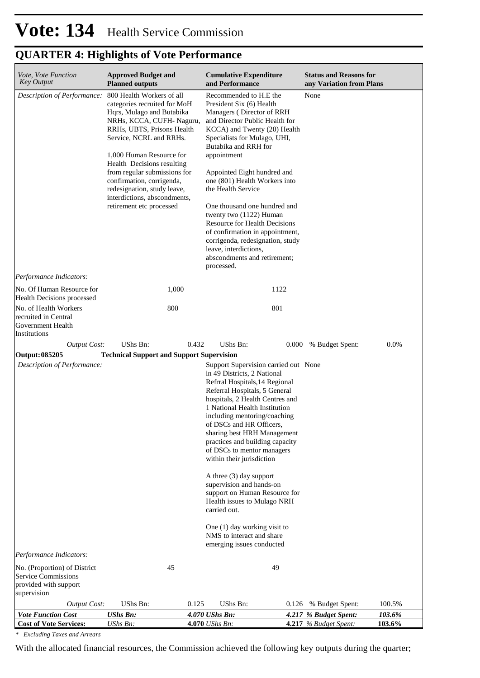| Vote, Vote Function<br><b>Key Output</b>                                                                         | <b>Approved Budget and</b><br><b>Planned outputs</b>                                                                                                                                                                                                                                                                                                                                          | <b>Cumulative Expenditure</b><br>and Performance                                                                                                                                                                                                                                                                                                                                                                                                                                                                                                                                                   | <b>Status and Reasons for</b><br>any Variation from Plans    |
|------------------------------------------------------------------------------------------------------------------|-----------------------------------------------------------------------------------------------------------------------------------------------------------------------------------------------------------------------------------------------------------------------------------------------------------------------------------------------------------------------------------------------|----------------------------------------------------------------------------------------------------------------------------------------------------------------------------------------------------------------------------------------------------------------------------------------------------------------------------------------------------------------------------------------------------------------------------------------------------------------------------------------------------------------------------------------------------------------------------------------------------|--------------------------------------------------------------|
| Description of Performance:<br>Performance Indicators:                                                           | 800 Health Workers of all<br>categories recruited for MoH<br>Hqrs, Mulago and Butabika<br>NRHs, KCCA, CUFH-Naguru,<br>RRHs, UBTS, Prisons Health<br>Service, NCRL and RRHs.<br>1,000 Human Resource for<br>Health Decisions resulting<br>from regular submissions for<br>confirmation, corrigenda,<br>redesignation, study leave,<br>interdictions, abscondments,<br>retirement etc processed | Recommended to H.E the<br>President Six (6) Health<br>Managers (Director of RRH<br>and Director Public Health for<br>KCCA) and Twenty (20) Health<br>Specialists for Mulago, UHI,<br>Butabika and RRH for<br>appointment<br>Appointed Eight hundred and<br>one (801) Health Workers into<br>the Health Service<br>One thousand one hundred and<br>twenty two (1122) Human<br><b>Resource for Health Decisions</b><br>of confirmation in appointment,<br>corrigenda, redesignation, study<br>leave, interdictions,<br>abscondments and retirement;<br>processed.                                    | None                                                         |
| No. Of Human Resource for                                                                                        | 1,000                                                                                                                                                                                                                                                                                                                                                                                         | 1122                                                                                                                                                                                                                                                                                                                                                                                                                                                                                                                                                                                               |                                                              |
| Health Decisions processed<br>No. of Health Workers<br>recruited in Central<br>Government Health<br>Institutions | 800                                                                                                                                                                                                                                                                                                                                                                                           | 801                                                                                                                                                                                                                                                                                                                                                                                                                                                                                                                                                                                                |                                                              |
| <b>Output Cost:</b>                                                                                              | UShs Bn:<br>0.432                                                                                                                                                                                                                                                                                                                                                                             | UShs Bn:<br>0.000                                                                                                                                                                                                                                                                                                                                                                                                                                                                                                                                                                                  | 0.0%<br>% Budget Spent:                                      |
| <b>Output: 085205</b><br>Description of Performance:                                                             | <b>Technical Support and Support Supervision</b>                                                                                                                                                                                                                                                                                                                                              | Support Supervision carried out None                                                                                                                                                                                                                                                                                                                                                                                                                                                                                                                                                               |                                                              |
| Performance Indicators:<br>No. (Proportion) of District<br><b>Service Commissions</b>                            | 45                                                                                                                                                                                                                                                                                                                                                                                            | in 49 Districts, 2 National<br>Refrral Hospitals, 14 Regional<br>Referral Hospitals, 5 General<br>hospitals, 2 Health Centres and<br>1 National Health Institution<br>including mentoring/coaching<br>of DSCs and HR Officers,<br>sharing best HRH Management<br>practices and building capacity<br>of DSCs to mentor managers<br>within their jurisdiction<br>A three (3) day support<br>supervision and hands-on<br>support on Human Resource for<br>Health issues to Mulago NRH<br>carried out.<br>One (1) day working visit to<br>NMS to interact and share<br>emerging issues conducted<br>49 |                                                              |
| provided with support<br>supervision                                                                             |                                                                                                                                                                                                                                                                                                                                                                                               |                                                                                                                                                                                                                                                                                                                                                                                                                                                                                                                                                                                                    |                                                              |
| <b>Output Cost:</b><br><b>Vote Function Cost</b>                                                                 | UShs Bn:<br>0.125<br><b>UShs Bn:</b>                                                                                                                                                                                                                                                                                                                                                          | UShs Bn:<br>0.126<br>4.070 UShs Bn:                                                                                                                                                                                                                                                                                                                                                                                                                                                                                                                                                                | % Budget Spent:<br>100.5%<br>4.217 % Budget Spent:<br>103.6% |

*\* Excluding Taxes and Arrears*

With the allocated financial resources, the Commission achieved the following key outputs during the quarter;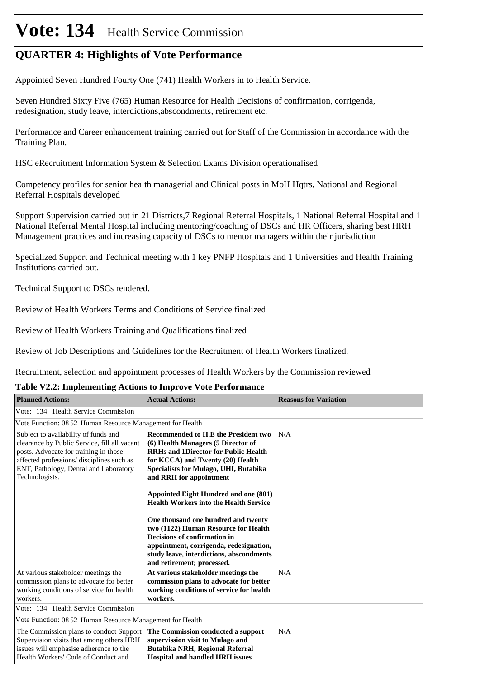# Vote: 134 Health Service Commission

# **QUARTER 4: Highlights of Vote Performance**

Appointed Seven Hundred Fourty One (741) Health Workers in to Health Service.

Seven Hundred Sixty Five (765) Human Resource for Health Decisions of confirmation, corrigenda, redesignation, study leave, interdictions,abscondments, retirement etc.

Performance and Career enhancement training carried out for Staff of the Commission in accordance with the Training Plan.

HSC eRecruitment Information System & Selection Exams Division operationalised

Competency profiles for senior health managerial and Clinical posts in MoH Hqtrs, National and Regional Referral Hospitals developed

Support Supervision carried out in 21 Districts,7 Regional Referral Hospitals, 1 National Referral Hospital and 1 National Referral Mental Hospital including mentoring/coaching of DSCs and HR Officers, sharing best HRH Management practices and increasing capacity of DSCs to mentor managers within their jurisdiction

Specialized Support and Technical meeting with 1 key PNFP Hospitals and 1 Universities and Health Training Institutions carried out.

Technical Support to DSCs rendered.

Review of Health Workers Terms and Conditions of Service finalized

Review of Health Workers Training and Qualifications finalized

Review of Job Descriptions and Guidelines for the Recruitment of Health Workers finalized.

Recruitment, selection and appointment processes of Health Workers by the Commission reviewed

### **Table V2.2: Implementing Actions to Improve Vote Performance**

| <b>Planned Actions:</b>                                                                                                                                                                                                               | <b>Actual Actions:</b>                                                                                                                                                                                                            | <b>Reasons for Variation</b> |
|---------------------------------------------------------------------------------------------------------------------------------------------------------------------------------------------------------------------------------------|-----------------------------------------------------------------------------------------------------------------------------------------------------------------------------------------------------------------------------------|------------------------------|
| Vote: 134 Health Service Commission                                                                                                                                                                                                   |                                                                                                                                                                                                                                   |                              |
| Vote Function: 08 52 Human Resource Management for Health                                                                                                                                                                             |                                                                                                                                                                                                                                   |                              |
| Subject to availability of funds and<br>clearance by Public Service, fill all vacant<br>posts. Advocate for training in those<br>affected professions/ disciplines such as<br>ENT, Pathology, Dental and Laboratory<br>Technologists. | Recommended to H.E the President two<br>(6) Health Managers (5 Director of<br><b>RRHs and 1Director for Public Health</b><br>for KCCA) and Twenty (20) Health<br>Specialists for Mulago, UHI, Butabika<br>and RRH for appointment | N/A                          |
|                                                                                                                                                                                                                                       | Appointed Eight Hundred and one (801)<br><b>Health Workers into the Health Service</b>                                                                                                                                            |                              |
|                                                                                                                                                                                                                                       | One thousand one hundred and twenty<br>two (1122) Human Resource for Health<br>Decisions of confirmation in<br>appointment, corrigenda, redesignation,<br>study leave, interdictions, abscondments<br>and retirement; processed.  |                              |
| At various stakeholder meetings the<br>commission plans to advocate for better<br>working conditions of service for health<br>workers.                                                                                                | At various stakeholder meetings the<br>commission plans to advocate for better<br>working conditions of service for health<br>workers.                                                                                            | N/A                          |
| Vote: 134 Health Service Commission                                                                                                                                                                                                   |                                                                                                                                                                                                                                   |                              |
| Vote Function: 08.52 Human Resource Management for Health                                                                                                                                                                             |                                                                                                                                                                                                                                   |                              |
| The Commission plans to conduct Support The Commission conducted a support<br>Supervision visits that among others HRH<br>issues will emphasise adherence to the<br>Health Workers' Code of Conduct and                               | supervission visit to Mulago and<br>Butabika NRH, Regional Referral<br><b>Hospital and handled HRH issues</b>                                                                                                                     | N/A                          |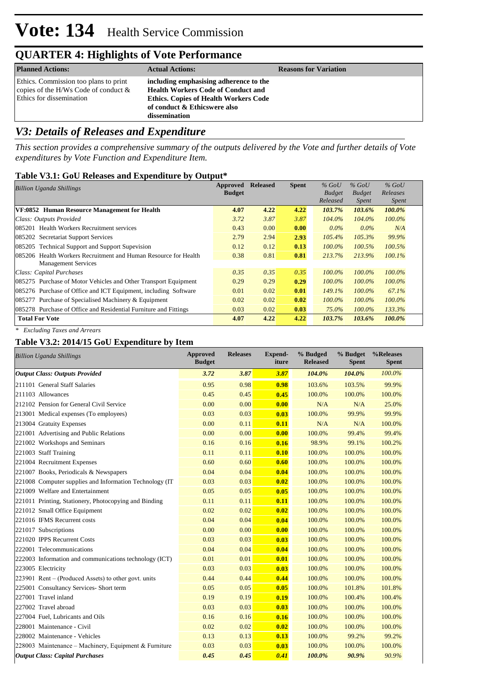| <b>Planned Actions:</b>                                                                                      | <b>Actual Actions:</b>                                                                                                                                                               | <b>Reasons for Variation</b> |
|--------------------------------------------------------------------------------------------------------------|--------------------------------------------------------------------------------------------------------------------------------------------------------------------------------------|------------------------------|
| Ethics. Commission too plans to print<br>copies of the H/Ws Code of conduct $\&$<br>Ethics for dissemination | including emphasising adherence to the<br><b>Health Workers Code of Conduct and</b><br><b>Ethics. Copies of Health Workers Code</b><br>of conduct & Ethicswere also<br>dissemination |                              |

# *V3: Details of Releases and Expenditure*

*This section provides a comprehensive summary of the outputs delivered by the Vote and further details of Vote expenditures by Vote Function and Expenditure Item.*

### **Table V3.1: GoU Releases and Expenditure by Output\***

| <b>Billion Uganda Shillings</b>                                  | Approved      | <b>Released</b> | <b>Spent</b> | $%$ GoU       | $%$ GoU       | $%$ GoU      |  |
|------------------------------------------------------------------|---------------|-----------------|--------------|---------------|---------------|--------------|--|
|                                                                  | <b>Budget</b> |                 |              | <b>Budget</b> | <b>Budget</b> | Releases     |  |
|                                                                  |               |                 |              | Released      | <i>Spent</i>  | <i>Spent</i> |  |
| VF:0852 Human Resource Management for Health                     | 4.07          | 4.22            | 4.22         | 103.7%        | 103.6%        | 100.0%       |  |
| Class: Outputs Provided                                          | 3.72          | 3.87            | 3.87         | $104.0\%$     | 104.0%        | $100.0\%$    |  |
| 085201 Health Workers Recruitment services                       | 0.43          | 0.00            | 0.00         | $0.0\%$       | $0.0\%$       | N/A          |  |
| 085202 Secretariat Support Services                              | 2.79          | 2.94            | 2.93         | $105.4\%$     | 105.3%        | 99.9%        |  |
| 085205 Technical Support and Support Supevision                  | 0.12          | 0.12            | 0.13         | $100.0\%$     | $100.5\%$     | $100.5\%$    |  |
| 085206 Health Workers Recruitment and Human Resource for Health  | 0.38          | 0.81            | 0.81         | 213.7%        | 213.9%        | $100.1\%$    |  |
| <b>Management Services</b>                                       |               |                 |              |               |               |              |  |
| Class: Capital Purchases                                         | 0.35          | 0.35            | 0.35         | 100.0%        | $100.0\%$     | $100.0\%$    |  |
| 085275 Purchase of Motor Vehicles and Other Transport Equipment  | 0.29          | 0.29            | 0.29         | $100.0\%$     | $100.0\%$     | $100.0\%$    |  |
| 085276 Purchase of Office and ICT Equipment, including Software  | 0.01          | 0.02            | 0.01         | 149.1%        | $100.0\%$     | 67.1%        |  |
| 085277 Purchase of Specialised Machinery & Equipment             | 0.02          | 0.02            | 0.02         | $100.0\%$     | $100.0\%$     | $100.0\%$    |  |
| 085278 Purchase of Office and Residential Furniture and Fittings | 0.03          | 0.02            | 0.03         | 75.0%         | $100.0\%$     | 133.3%       |  |
| <b>Total For Vote</b>                                            | 4.07          | 4.22            | 4.22         | 103.7%        | 103.6%        | 100.0%       |  |

*\* Excluding Taxes and Arrears*

### **Table V3.2: 2014/15 GoU Expenditure by Item**

| <b>Billion Uganda Shillings</b>                          | <b>Approved</b><br><b>Budget</b> | <b>Releases</b> | <b>Expend-</b><br>iture | % Budged<br><b>Released</b> | % Budget<br><b>Spent</b> | %Releases<br><b>Spent</b> |
|----------------------------------------------------------|----------------------------------|-----------------|-------------------------|-----------------------------|--------------------------|---------------------------|
| <b>Output Class: Outputs Provided</b>                    | 3.72                             | 3.87            | 3.87                    | 104.0%                      | 104.0%                   | 100.0%                    |
| 211101 General Staff Salaries                            | 0.95                             | 0.98            | 0.98                    | 103.6%                      | 103.5%                   | 99.9%                     |
| 211103 Allowances                                        | 0.45                             | 0.45            | 0.45                    | 100.0%                      | 100.0%                   | 100.0%                    |
| 212102 Pension for General Civil Service                 | 0.00                             | 0.00            | 0.00                    | N/A                         | N/A                      | 25.0%                     |
| 213001 Medical expenses (To employees)                   | 0.03                             | 0.03            | 0.03                    | 100.0%                      | 99.9%                    | 99.9%                     |
| 213004 Gratuity Expenses                                 | 0.00                             | 0.11            | 0.11                    | N/A                         | N/A                      | 100.0%                    |
| 221001 Advertising and Public Relations                  | 0.00                             | 0.00            | 0.00                    | 100.0%                      | 99.4%                    | 99.4%                     |
| 221002 Workshops and Seminars                            | 0.16                             | 0.16            | 0.16                    | 98.9%                       | 99.1%                    | 100.2%                    |
| 221003 Staff Training                                    | 0.11                             | 0.11            | 0.10                    | 100.0%                      | 100.0%                   | 100.0%                    |
| 221004 Recruitment Expenses                              | 0.60                             | 0.60            | 0.60                    | 100.0%                      | 100.0%                   | 100.0%                    |
| 221007 Books, Periodicals & Newspapers                   | 0.04                             | 0.04            | 0.04                    | 100.0%                      | 100.0%                   | 100.0%                    |
| 221008 Computer supplies and Information Technology (IT) | 0.03                             | 0.03            | 0.02                    | 100.0%                      | 100.0%                   | 100.0%                    |
| 221009 Welfare and Entertainment                         | 0.05                             | 0.05            | 0.05                    | 100.0%                      | 100.0%                   | 100.0%                    |
| 221011 Printing, Stationery, Photocopying and Binding    | 0.11                             | 0.11            | 0.11                    | 100.0%                      | 100.0%                   | 100.0%                    |
| 221012 Small Office Equipment                            | 0.02                             | 0.02            | 0.02                    | 100.0%                      | 100.0%                   | 100.0%                    |
| 221016 IFMS Recurrent costs                              | 0.04                             | 0.04            | 0.04                    | 100.0%                      | 100.0%                   | 100.0%                    |
| 221017 Subscriptions                                     | 0.00                             | 0.00            | 0.00                    | 100.0%                      | 100.0%                   | 100.0%                    |
| 221020 IPPS Recurrent Costs                              | 0.03                             | 0.03            | 0.03                    | 100.0%                      | 100.0%                   | 100.0%                    |
| 222001 Telecommunications                                | 0.04                             | 0.04            | 0.04                    | 100.0%                      | 100.0%                   | 100.0%                    |
| 222003 Information and communications technology (ICT)   | 0.01                             | 0.01            | 0.01                    | 100.0%                      | 100.0%                   | 100.0%                    |
| 223005 Electricity                                       | 0.03                             | 0.03            | 0.03                    | 100.0%                      | 100.0%                   | 100.0%                    |
| 223901 Rent – (Produced Assets) to other govt. units     | 0.44                             | 0.44            | 0.44                    | 100.0%                      | 100.0%                   | 100.0%                    |
| 225001 Consultancy Services- Short term                  | 0.05                             | 0.05            | 0.05                    | 100.0%                      | 101.8%                   | 101.8%                    |
| 227001 Travel inland                                     | 0.19                             | 0.19            | 0.19                    | 100.0%                      | 100.4%                   | 100.4%                    |
| 227002 Travel abroad                                     | 0.03                             | 0.03            | 0.03                    | 100.0%                      | 100.0%                   | 100.0%                    |
| 227004 Fuel, Lubricants and Oils                         | 0.16                             | 0.16            | 0.16                    | 100.0%                      | 100.0%                   | 100.0%                    |
| 228001 Maintenance - Civil                               | 0.02                             | 0.02            | 0.02                    | 100.0%                      | 100.0%                   | 100.0%                    |
| 228002 Maintenance - Vehicles                            | 0.13                             | 0.13            | 0.13                    | 100.0%                      | 99.2%                    | 99.2%                     |
| 228003 Maintenance – Machinery, Equipment & Furniture    | 0.03                             | 0.03            | 0.03                    | 100.0%                      | 100.0%                   | 100.0%                    |
| <b>Output Class: Capital Purchases</b>                   | 0.45                             | 0.45            | 0.41                    | 100.0%                      | 90.9%                    | 90.9%                     |